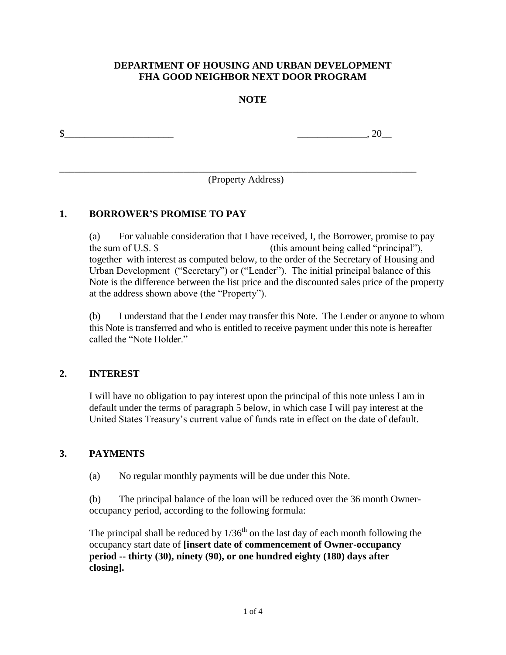### **DEPARTMENT OF HOUSING AND URBAN DEVELOPMENT FHA GOOD NEIGHBOR NEXT DOOR PROGRAM**

### **NOTE**

 $\frac{1}{20}$  , 20

(Property Address)

\_\_\_\_\_\_\_\_\_\_\_\_\_\_\_\_\_\_\_\_\_\_\_\_\_\_\_\_\_\_\_\_\_\_\_\_\_\_\_\_\_\_\_\_\_\_\_\_\_\_\_\_\_\_\_\_\_\_\_\_\_\_\_\_\_\_\_\_\_\_\_\_

### **1. BORROWER'S PROMISE TO PAY**

(a) For valuable consideration that I have received, I, the Borrower, promise to pay the sum of U.S.  $\$$  (this amount being called "principal"), together with interest as computed below, to the order of the Secretary of Housing and Urban Development ("Secretary") or ("Lender"). The initial principal balance of this Note is the difference between the list price and the discounted sales price of the property at the address shown above (the "Property").

(b) I understand that the Lender may transfer this Note. The Lender or anyone to whom this Note is transferred and who is entitled to receive payment under this note is hereafter called the "Note Holder"

#### **2. INTEREST**

I will have no obligation to pay interest upon the principal of this note unless I am in default under the terms of paragraph 5 below, in which case I will pay interest at the United States Treasury's current value of funds rate in effect on the date of default.

#### **3. PAYMENTS**

(a) No regular monthly payments will be due under this Note.

(b) The principal balance of the loan will be reduced over the 36 month Owneroccupancy period, according to the following formula:

The principal shall be reduced by  $1/36<sup>th</sup>$  on the last day of each month following the occupancy start date of **[insert date of commencement of Owner-occupancy period -- thirty (30), ninety (90), or one hundred eighty (180) days after closing].**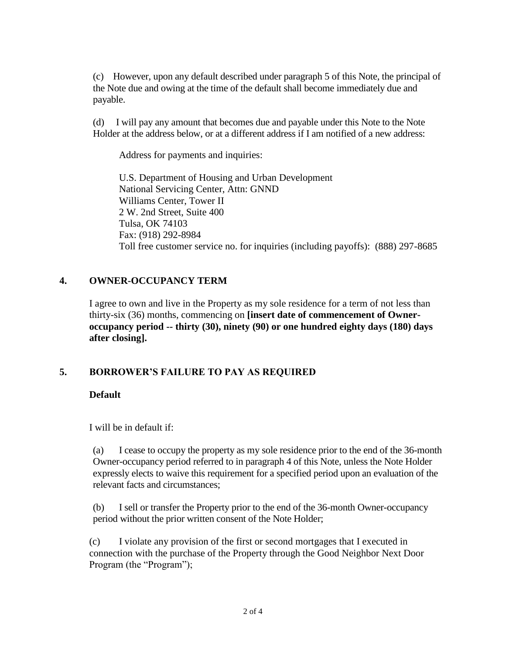(c) However, upon any default described under paragraph 5 of this Note, the principal of the Note due and owing at the time of the default shall become immediately due and payable.

(d) I will pay any amount that becomes due and payable under this Note to the Note Holder at the address below, or at a different address if I am notified of a new address:

Address for payments and inquiries:

U.S. Department of Housing and Urban Development National Servicing Center, Attn: GNND Williams Center, Tower II 2 W. 2nd Street, Suite 400 Tulsa, OK 74103 Fax: (918) 292-8984 Toll free customer service no. for inquiries (including payoffs): (888) 297-8685

## **4. OWNER-OCCUPANCY TERM**

I agree to own and live in the Property as my sole residence for a term of not less than thirty-six (36) months, commencing on **[insert date of commencement of Owneroccupancy period -- thirty (30), ninety (90) or one hundred eighty days (180) days after closing].** 

# **5. BORROWER'S FAILURE TO PAY AS REQUIRED**

## **Default**

I will be in default if:

(a) I cease to occupy the property as my sole residence prior to the end of the 36-month Owner-occupancy period referred to in paragraph 4 of this Note, unless the Note Holder expressly elects to waive this requirement for a specified period upon an evaluation of the relevant facts and circumstances;

(b) I sell or transfer the Property prior to the end of the 36-month Owner-occupancy period without the prior written consent of the Note Holder;

(c) I violate any provision of the first or second mortgages that I executed in connection with the purchase of the Property through the Good Neighbor Next Door Program (the "Program");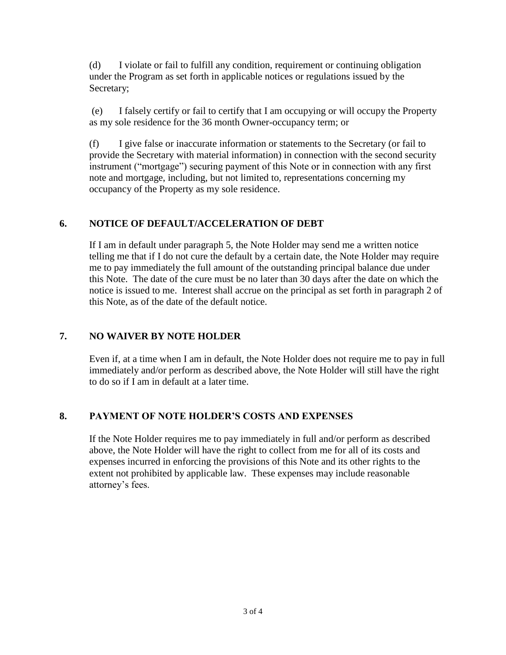(d) I violate or fail to fulfill any condition, requirement or continuing obligation under the Program as set forth in applicable notices or regulations issued by the Secretary;

(e) I falsely certify or fail to certify that I am occupying or will occupy the Property as my sole residence for the 36 month Owner-occupancy term; or

(f) I give false or inaccurate information or statements to the Secretary (or fail to provide the Secretary with material information) in connection with the second security instrument ("mortgage") securing payment of this Note or in connection with any first note and mortgage, including, but not limited to, representations concerning my occupancy of the Property as my sole residence.

# **6. NOTICE OF DEFAULT/ACCELERATION OF DEBT**

If I am in default under paragraph 5, the Note Holder may send me a written notice telling me that if I do not cure the default by a certain date, the Note Holder may require me to pay immediately the full amount of the outstanding principal balance due under this Note. The date of the cure must be no later than 30 days after the date on which the notice is issued to me. Interest shall accrue on the principal as set forth in paragraph 2 of this Note, as of the date of the default notice.

# **7. NO WAIVER BY NOTE HOLDER**

Even if, at a time when I am in default, the Note Holder does not require me to pay in full immediately and/or perform as described above, the Note Holder will still have the right to do so if I am in default at a later time.

# **8. PAYMENT OF NOTE HOLDER'S COSTS AND EXPENSES**

If the Note Holder requires me to pay immediately in full and/or perform as described above, the Note Holder will have the right to collect from me for all of its costs and expenses incurred in enforcing the provisions of this Note and its other rights to the extent not prohibited by applicable law. These expenses may include reasonable attorney's fees.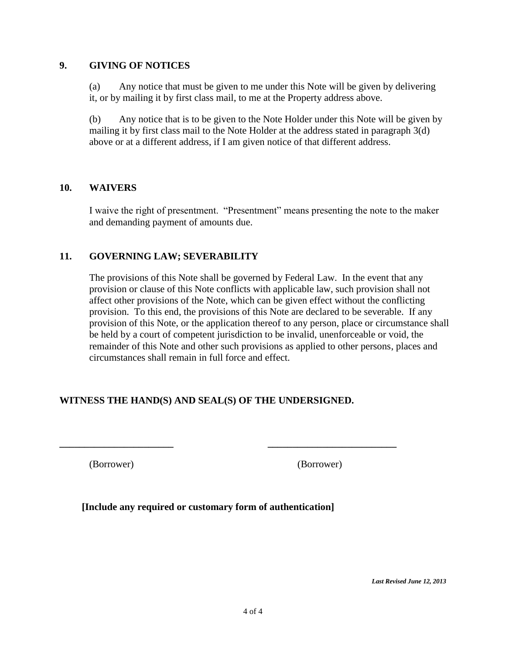#### **9. GIVING OF NOTICES**

(a) Any notice that must be given to me under this Note will be given by delivering it, or by mailing it by first class mail, to me at the Property address above.

(b) Any notice that is to be given to the Note Holder under this Note will be given by mailing it by first class mail to the Note Holder at the address stated in paragraph 3(d) above or at a different address, if I am given notice of that different address.

### **10. WAIVERS**

I waive the right of presentment. "Presentment" means presenting the note to the maker and demanding payment of amounts due.

## **11. GOVERNING LAW; SEVERABILITY**

The provisions of this Note shall be governed by Federal Law. In the event that any provision or clause of this Note conflicts with applicable law, such provision shall not affect other provisions of the Note, which can be given effect without the conflicting provision. To this end, the provisions of this Note are declared to be severable. If any provision of this Note, or the application thereof to any person, place or circumstance shall be held by a court of competent jurisdiction to be invalid, unenforceable or void, the remainder of this Note and other such provisions as applied to other persons, places and circumstances shall remain in full force and effect.

# **WITNESS THE HAND(S) AND SEAL(S) OF THE UNDERSIGNED.**

**\_\_\_\_\_\_\_\_\_\_\_\_\_\_\_\_\_\_\_\_\_\_\_ \_\_\_\_\_\_\_\_\_\_\_\_\_\_\_\_\_\_\_\_\_\_\_\_\_\_**

(Borrower) (Borrower)

**[Include any required or customary form of authentication]**

*Last Revised June 12, 2013*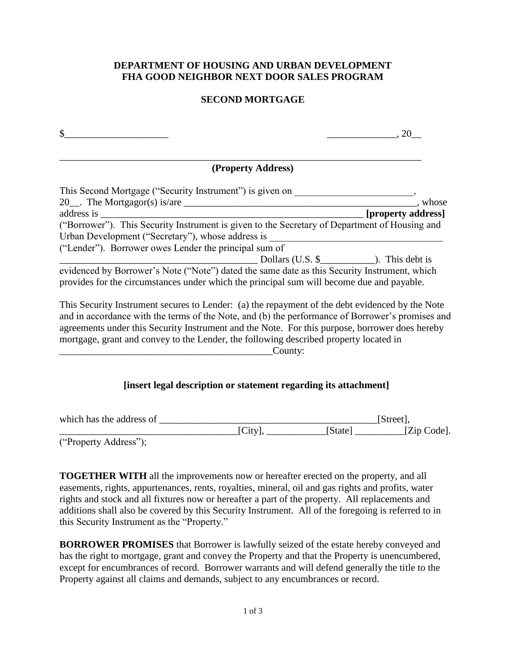### **DEPARTMENT OF HOUSING AND URBAN DEVELOPMENT FHA GOOD NEIGHBOR NEXT DOOR SALES PROGRAM**

### **SECOND MORTGAGE**

| \$                                                                                                                                                                                        |                    |
|-------------------------------------------------------------------------------------------------------------------------------------------------------------------------------------------|--------------------|
| (Property Address)                                                                                                                                                                        |                    |
| This Second Mortgage ("Security Instrument") is given on                                                                                                                                  |                    |
|                                                                                                                                                                                           | , whose            |
| address is                                                                                                                                                                                | [property address] |
| ("Borrower"). This Security Instrument is given to the Secretary of Department of Housing and                                                                                             |                    |
| Urban Development ("Secretary"), whose address is                                                                                                                                         |                    |
| ("Lender"). Borrower owes Lender the principal sum of                                                                                                                                     |                    |
| Dollars $(U.S.$ \$ $\)$ . This debt is                                                                                                                                                    |                    |
| evidenced by Borrower's Note ("Note") dated the same date as this Security Instrument, which<br>provides for the circumstances under which the principal sum will become due and payable. |                    |
| This Security Instrument secures to Lender: (a) the repayment of the debt evidenced by the Note                                                                                           |                    |

and in accordance with the terms of the Note, and (b) the performance of Borrower's promises and agreements under this Security Instrument and the Note. For this purpose, borrower does hereby mortgage, grant and convey to the Lender, the following described property located in County:

## **[insert legal description or statement regarding its attachment]**

| which has the address of |        | [Street]. |             |  |
|--------------------------|--------|-----------|-------------|--|
|                          | [City] | [State]   | [Zip Code]. |  |
| $(45)$ $(11)$ $(27)$     |        |           |             |  |

("Property Address");

**TOGETHER WITH** all the improvements now or hereafter erected on the property, and all easements, rights, appurtenances, rents, royalties, mineral, oil and gas rights and profits, water rights and stock and all fixtures now or hereafter a part of the property. All replacements and additions shall also be covered by this Security Instrument. All of the foregoing is referred to in this Security Instrument as the "Property."

**BORROWER PROMISES** that Borrower is lawfully seized of the estate hereby conveyed and has the right to mortgage, grant and convey the Property and that the Property is unencumbered, except for encumbrances of record. Borrower warrants and will defend generally the title to the Property against all claims and demands, subject to any encumbrances or record.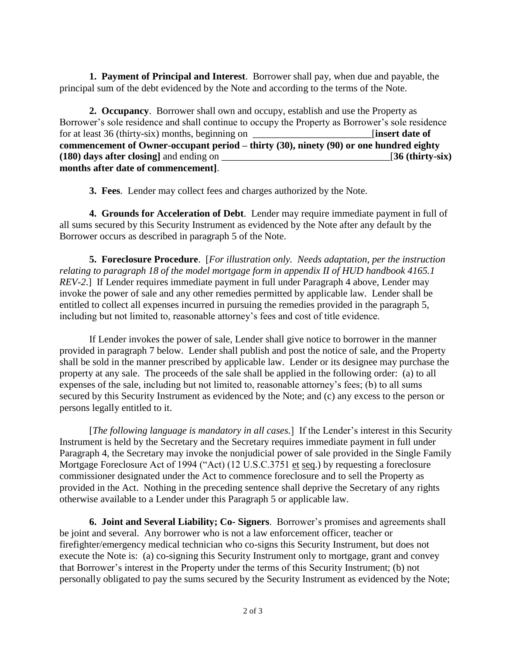**1. Payment of Principal and Interest**. Borrower shall pay, when due and payable, the principal sum of the debt evidenced by the Note and according to the terms of the Note.

**2. Occupancy**. Borrower shall own and occupy, establish and use the Property as Borrower's sole residence and shall continue to occupy the Property as Borrower's sole residence for at least 36 (thirty-six) months, beginning on **Figure 1** [**insert date of commencement of Owner-occupant period – thirty (30), ninety (90) or one hundred eighty (180) days after closing]** and ending on \_\_\_\_\_\_\_\_\_\_\_\_\_\_\_\_\_\_\_\_\_\_\_\_\_\_\_\_\_\_\_\_\_\_[**36 (thirty-six) months after date of commencement]**.

**3. Fees**. Lender may collect fees and charges authorized by the Note.

**4. Grounds for Acceleration of Debt**. Lender may require immediate payment in full of all sums secured by this Security Instrument as evidenced by the Note after any default by the Borrower occurs as described in paragraph 5 of the Note.

**5. Foreclosure Procedure**. [*For illustration only. Needs adaptation, per the instruction relating to paragraph 18 of the model mortgage form in appendix II of HUD handbook 4165.1 REV-2*.] If Lender requires immediate payment in full under Paragraph 4 above, Lender may invoke the power of sale and any other remedies permitted by applicable law. Lender shall be entitled to collect all expenses incurred in pursuing the remedies provided in the paragraph 5, including but not limited to, reasonable attorney's fees and cost of title evidence.

If Lender invokes the power of sale, Lender shall give notice to borrower in the manner provided in paragraph 7 below. Lender shall publish and post the notice of sale, and the Property shall be sold in the manner prescribed by applicable law. Lender or its designee may purchase the property at any sale. The proceeds of the sale shall be applied in the following order: (a) to all expenses of the sale, including but not limited to, reasonable attorney's fees; (b) to all sums secured by this Security Instrument as evidenced by the Note; and (c) any excess to the person or persons legally entitled to it.

[*The following language is mandatory in all cases.*] If the Lender's interest in this Security Instrument is held by the Secretary and the Secretary requires immediate payment in full under Paragraph 4, the Secretary may invoke the nonjudicial power of sale provided in the Single Family Mortgage Foreclosure Act of 1994 ("Act) (12 U.S.C.3751 et seq.) by requesting a foreclosure commissioner designated under the Act to commence foreclosure and to sell the Property as provided in the Act. Nothing in the preceding sentence shall deprive the Secretary of any rights otherwise available to a Lender under this Paragraph 5 or applicable law.

**6. Joint and Several Liability; Co- Signers**. Borrower's promises and agreements shall be joint and several. Any borrower who is not a law enforcement officer, teacher or firefighter/emergency medical technician who co-signs this Security Instrument, but does not execute the Note is: (a) co-signing this Security Instrument only to mortgage, grant and convey that Borrower's interest in the Property under the terms of this Security Instrument; (b) not personally obligated to pay the sums secured by the Security Instrument as evidenced by the Note;